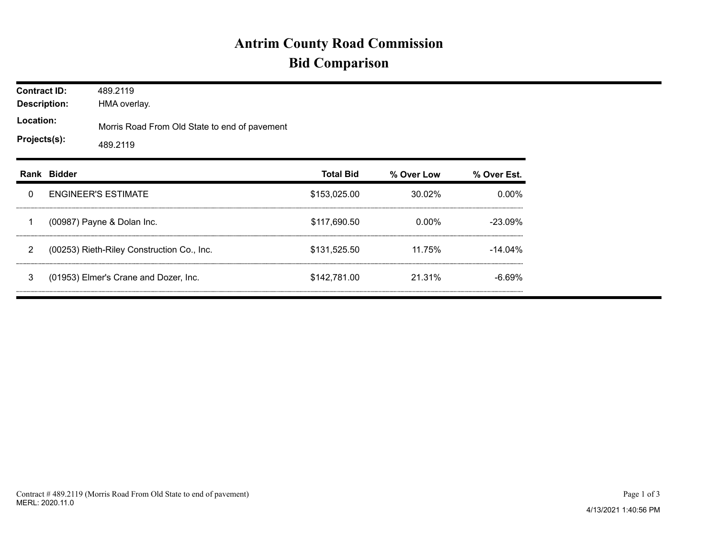## **Antrim County Road Commission Bid Comparison**

| <b>Contract ID:</b><br><b>Description:</b><br>Location:<br>Projects(s): |                                            | 489.2119<br>HMA overlay.                                  |                  |            |             |  |  |  |  |
|-------------------------------------------------------------------------|--------------------------------------------|-----------------------------------------------------------|------------------|------------|-------------|--|--|--|--|
|                                                                         |                                            | Morris Road From Old State to end of pavement<br>489.2119 |                  |            |             |  |  |  |  |
|                                                                         | Rank Bidder                                |                                                           | <b>Total Bid</b> | % Over Low | % Over Est. |  |  |  |  |
| 0                                                                       | <b>ENGINEER'S ESTIMATE</b>                 |                                                           | \$153,025.00     | $30.02\%$  | $0.00\%$    |  |  |  |  |
| 1                                                                       | (00987) Payne & Dolan Inc.                 |                                                           | \$117,690.50     | 0.00%      | $-23.09%$   |  |  |  |  |
| $\overline{2}$                                                          | (00253) Rieth-Riley Construction Co., Inc. |                                                           | \$131,525.50     | 11.75%     | $-14.04\%$  |  |  |  |  |
| 3                                                                       | (01953) Elmer's Crane and Dozer, Inc.      |                                                           | \$142,781,00     | 21.31%     | $-6.69\%$   |  |  |  |  |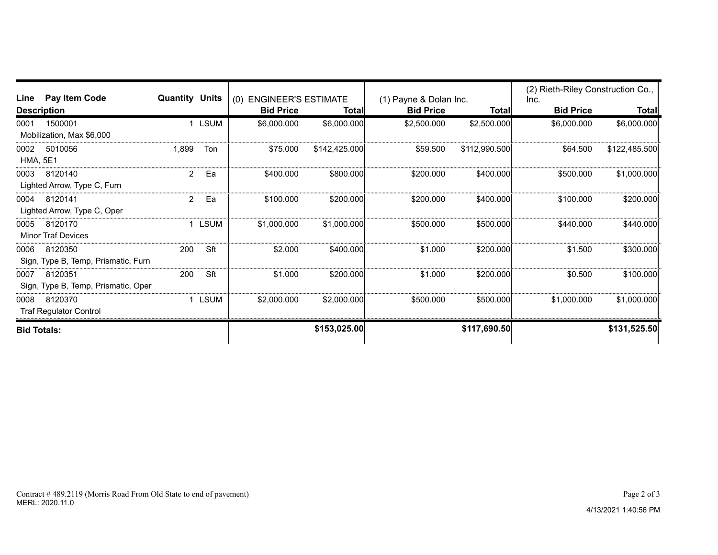| Line                    | Pay Item Code<br><b>Quantity Units</b>         |       |             | (0) ENGINEER'S ESTIMATE |               | (1) Payne & Dolan Inc. |               | (2) Rieth-Riley Construction Co., |               |
|-------------------------|------------------------------------------------|-------|-------------|-------------------------|---------------|------------------------|---------------|-----------------------------------|---------------|
|                         | <b>Description</b>                             |       |             | <b>Bid Price</b>        | Totall        | <b>Bid Price</b>       | Totall        | Inc.<br><b>Bid Price</b>          | Total         |
| 0001                    | 1500001<br>Mobilization, Max \$6,000           |       | <b>LSUM</b> | \$6,000.000             | \$6,000.000   | \$2,500.000            | \$2,500.000   | \$6,000.000                       | \$6,000.000   |
| 0002<br><b>HMA, 5E1</b> | 5010056                                        | 1,899 | Ton         | \$75,000                | \$142.425.000 | \$59,500               | \$112,990,500 | \$64.500                          | \$122,485.500 |
| 0003                    | 8120140<br>Lighted Arrow, Type C, Furn         | 2     | Ea          | \$400,000               | \$800,000     | \$200,000              | \$400,000     | \$500,000                         | \$1,000.000   |
| 0004                    | 8120141<br>Lighted Arrow, Type C, Oper         | 2     | Ea          | \$100,000               | \$200.000     | \$200,000              | \$400,000     | \$100,000                         | \$200.000     |
| 0005                    | 8120170<br><b>Minor Traf Devices</b>           |       | <b>LSUM</b> | \$1,000,000             | \$1,000,000   | \$500,000              | \$500,000     | \$440.000                         | \$440,000     |
| 0006                    | 8120350<br>Sign, Type B, Temp, Prismatic, Furn | 200   | Sft         | \$2,000                 | \$400.000     | \$1,000                | \$200,000     | \$1.500                           | \$300.000     |
| 0007                    | 8120351<br>Sign, Type B, Temp, Prismatic, Oper | 200   | Sft         | \$1,000                 | \$200,000     | \$1,000                | \$200,000     | \$0.500                           | \$100.000     |
| 0008                    | 8120370<br><b>Traf Regulator Control</b>       |       | LSUM        | \$2,000.000             | \$2,000,000   | \$500,000              | \$500,000     | \$1,000.000                       | \$1,000.000   |
| <b>Bid Totals:</b>      |                                                |       |             |                         | \$153,025.00  |                        | \$117,690.50  |                                   | \$131,525.50  |